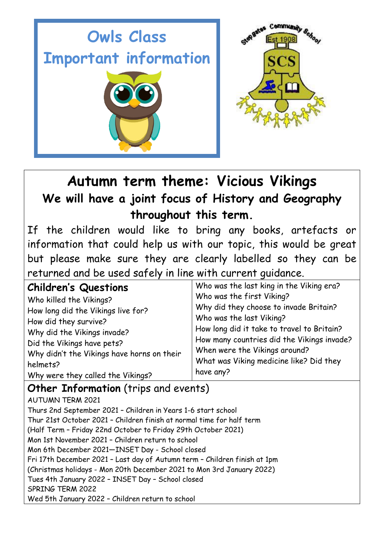

## **Autumn term theme: Vicious Vikings We will have a joint focus of History and Geography throughout this term.**

If the children would like to bring any books, artefacts or information that could help us with our topic, this would be great but please make sure they are clearly labelled so they can be returned and be used safely in line with current guidance.

| <b>Children's Questions</b>                | Who was the last king in the Viking era?   |
|--------------------------------------------|--------------------------------------------|
| Who killed the Vikings?                    | Who was the first Viking?                  |
| How long did the Vikings live for?         | Why did they choose to invade Britain?     |
| How did they survive?                      | Who was the last Viking?                   |
| Why did the Vikings invade?                | How long did it take to travel to Britain? |
| Did the Vikings have pets?                 | How many countries did the Vikings invade? |
| Why didn't the Vikings have horns on their | When were the Vikings around?              |
| helmets?                                   | What was Viking medicine like? Did they    |
| Why were they called the Vikings?          | have any?                                  |

### **Other Information** (trips and events)

AUTUMN TERM 2021 Thurs 2nd September 2021 – Children in Years 1-6 start school Thur 21st October 2021 – Children finish at normal time for half term (Half Term – Friday 22nd October to Friday 29th October 2021) Mon 1st November 2021 – Children return to school Mon 6th December 2021—INSET Day - School closed Fri 17th December 2021 – Last day of Autumn term – Children finish at 1pm (Christmas holidays - Mon 20th December 2021 to Mon 3rd January 2022) Tues 4th January 2022 – INSET Day – School closed SPRING TERM 2022 Wed 5th January 2022 – Children return to school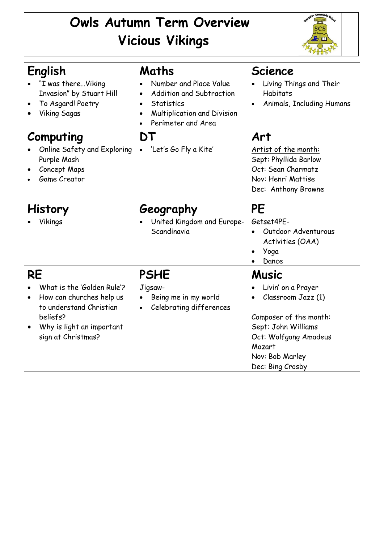# **Owls Autumn Term Overview Vicious Vikings**



| English<br>"I was thereViking<br>Invasion" by Stuart Hill<br>To Asgard! Poetry<br><b>Viking Sagas</b>                                                                      | Maths<br>Number and Place Value<br><b>Addition and Subtraction</b><br>$\bullet$<br>Statistics<br>$\bullet$<br>Multiplication and Division<br>$\bullet$<br>Perimeter and Area | <b>Science</b><br>Living Things and Their<br><b>Habitats</b><br>Animals, Including Humans                                                                                    |
|----------------------------------------------------------------------------------------------------------------------------------------------------------------------------|------------------------------------------------------------------------------------------------------------------------------------------------------------------------------|------------------------------------------------------------------------------------------------------------------------------------------------------------------------------|
| Computing<br>Online Safety and Exploring<br>Purple Mash<br>Concept Maps<br><b>Game Creator</b>                                                                             | DT<br>'Let's Go Fly a Kite'                                                                                                                                                  | Art<br>Artist of the month:<br>Sept: Phyllida Barlow<br>Oct: Sean Charmatz<br>Nov: Henri Mattise<br>Dec: Anthony Browne                                                      |
| <b>History</b><br>Vikings                                                                                                                                                  | Geography<br>United Kingdom and Europe-<br>Scandinavia                                                                                                                       | <b>PE</b><br>Getset4PE-<br>Outdoor Adventurous<br>Activities (OAA)<br>Yoga<br>Dance                                                                                          |
| <b>RE</b><br>What is the 'Golden Rule'?<br>How can churches help us<br>$\bullet$<br>to understand Christian<br>beliefs?<br>Why is light an important<br>sign at Christmas? | <b>PSHE</b><br>Jigsaw-<br>Being me in my world<br>$\bullet$<br>Celebrating differences<br>$\bullet$                                                                          | Music<br>Livin' on a Prayer<br>Classroom Jazz (1)<br>Composer of the month:<br>Sept: John Williams<br>Oct: Wolfgang Amadeus<br>Mozart<br>Nov: Bob Marley<br>Dec: Bing Crosby |